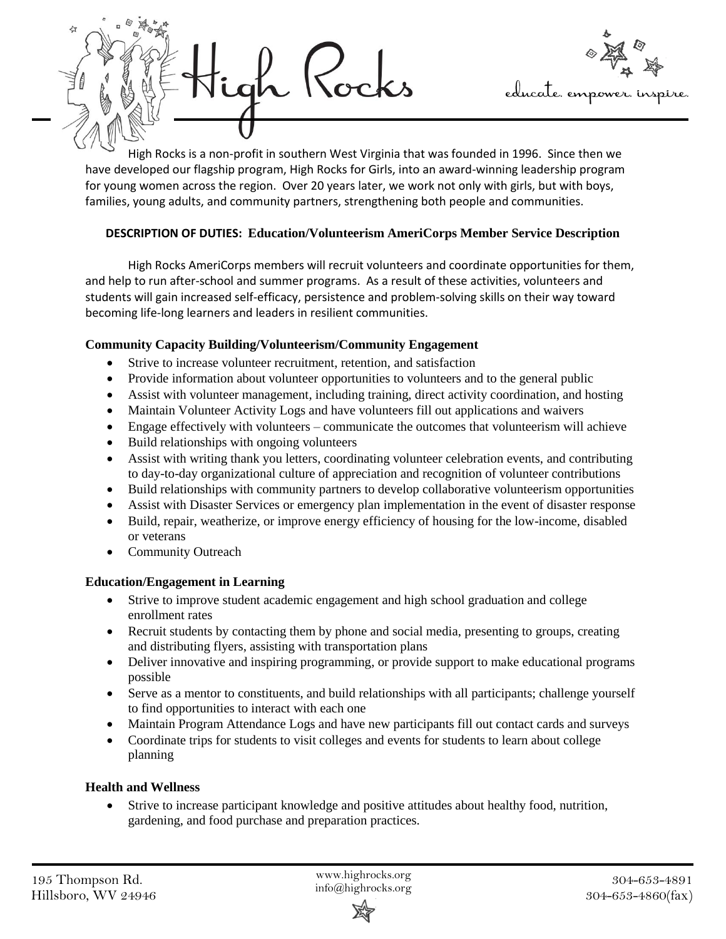



High Rocks is a non-profit in southern West Virginia that was founded in 1996. Since then we have developed our flagship program, High Rocks for Girls, into an award-winning leadership program for young women across the region. Over 20 years later, we work not only with girls, but with boys, families, young adults, and community partners, strengthening both people and communities.

# **DESCRIPTION OF DUTIES: Education/Volunteerism AmeriCorps Member Service Description**

High Rocks AmeriCorps members will recruit volunteers and coordinate opportunities for them, and help to run after-school and summer programs. As a result of these activities, volunteers and students will gain increased self-efficacy, persistence and problem-solving skills on their way toward becoming life-long learners and leaders in resilient communities.

## **Community Capacity Building/Volunteerism/Community Engagement**

- Strive to increase volunteer recruitment, retention, and satisfaction
- Provide information about volunteer opportunities to volunteers and to the general public
- Assist with volunteer management, including training, direct activity coordination, and hosting
- Maintain Volunteer Activity Logs and have volunteers fill out applications and waivers
- Engage effectively with volunteers communicate the outcomes that volunteerism will achieve
- Build relationships with ongoing volunteers
- Assist with writing thank you letters, coordinating volunteer celebration events, and contributing to day-to-day organizational culture of appreciation and recognition of volunteer contributions
- Build relationships with community partners to develop collaborative volunteerism opportunities
- Assist with Disaster Services or emergency plan implementation in the event of disaster response
- Build, repair, weatherize, or improve energy efficiency of housing for the low-income, disabled or veterans
- Community Outreach

## **Education/Engagement in Learning**

- Strive to improve student academic engagement and high school graduation and college enrollment rates
- Recruit students by contacting them by phone and social media, presenting to groups, creating and distributing flyers, assisting with transportation plans
- Deliver innovative and inspiring programming, or provide support to make educational programs possible
- Serve as a mentor to constituents, and build relationships with all participants; challenge yourself to find opportunities to interact with each one
- Maintain Program Attendance Logs and have new participants fill out contact cards and surveys
- Coordinate trips for students to visit colleges and events for students to learn about college planning

# **Health and Wellness**

• Strive to increase participant knowledge and positive attitudes about healthy food, nutrition, gardening, and food purchase and preparation practices.

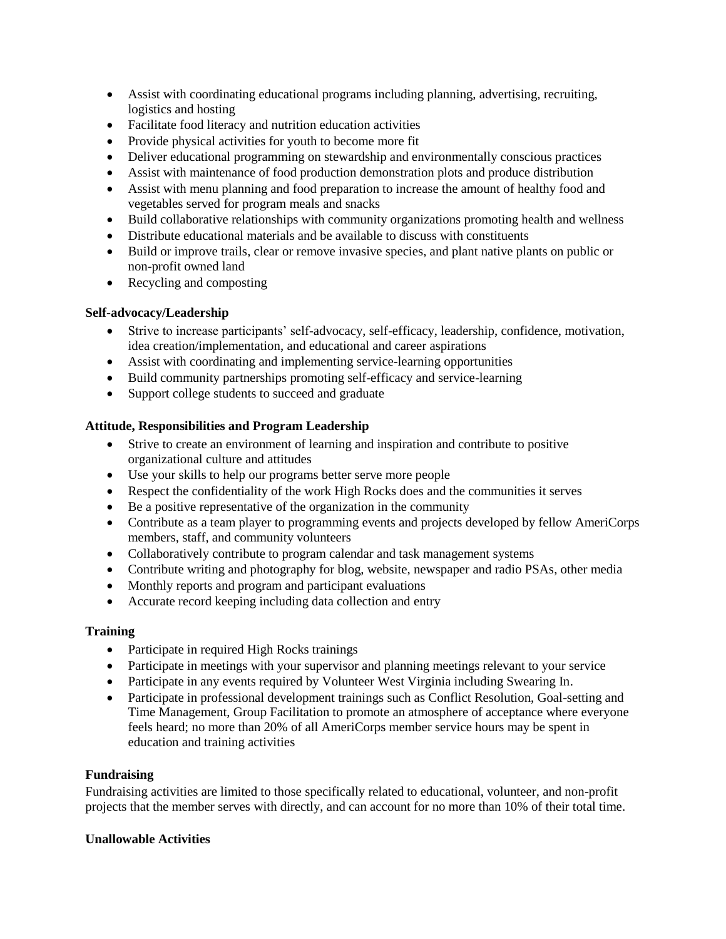- Assist with coordinating educational programs including planning, advertising, recruiting, logistics and hosting
- Facilitate food literacy and nutrition education activities
- Provide physical activities for youth to become more fit
- Deliver educational programming on stewardship and environmentally conscious practices
- Assist with maintenance of food production demonstration plots and produce distribution
- Assist with menu planning and food preparation to increase the amount of healthy food and vegetables served for program meals and snacks
- Build collaborative relationships with community organizations promoting health and wellness
- Distribute educational materials and be available to discuss with constituents
- Build or improve trails, clear or remove invasive species, and plant native plants on public or non-profit owned land
- Recycling and composting

#### **Self-advocacy/Leadership**

- Strive to increase participants' self-advocacy, self-efficacy, leadership, confidence, motivation, idea creation/implementation, and educational and career aspirations
- Assist with coordinating and implementing service-learning opportunities
- Build community partnerships promoting self-efficacy and service-learning
- Support college students to succeed and graduate

#### **Attitude, Responsibilities and Program Leadership**

- Strive to create an environment of learning and inspiration and contribute to positive organizational culture and attitudes
- Use your skills to help our programs better serve more people
- Respect the confidentiality of the work High Rocks does and the communities it serves
- Be a positive representative of the organization in the community
- Contribute as a team player to programming events and projects developed by fellow AmeriCorps members, staff, and community volunteers
- Collaboratively contribute to program calendar and task management systems
- Contribute writing and photography for blog, website, newspaper and radio PSAs, other media
- Monthly reports and program and participant evaluations
- Accurate record keeping including data collection and entry

#### **Training**

- Participate in required High Rocks trainings
- Participate in meetings with your supervisor and planning meetings relevant to your service
- Participate in any events required by Volunteer West Virginia including Swearing In.
- Participate in professional development trainings such as Conflict Resolution, Goal-setting and Time Management, Group Facilitation to promote an atmosphere of acceptance where everyone feels heard; no more than 20% of all AmeriCorps member service hours may be spent in education and training activities

#### **Fundraising**

Fundraising activities are limited to those specifically related to educational, volunteer, and non-profit projects that the member serves with directly, and can account for no more than 10% of their total time.

#### **Unallowable Activities**